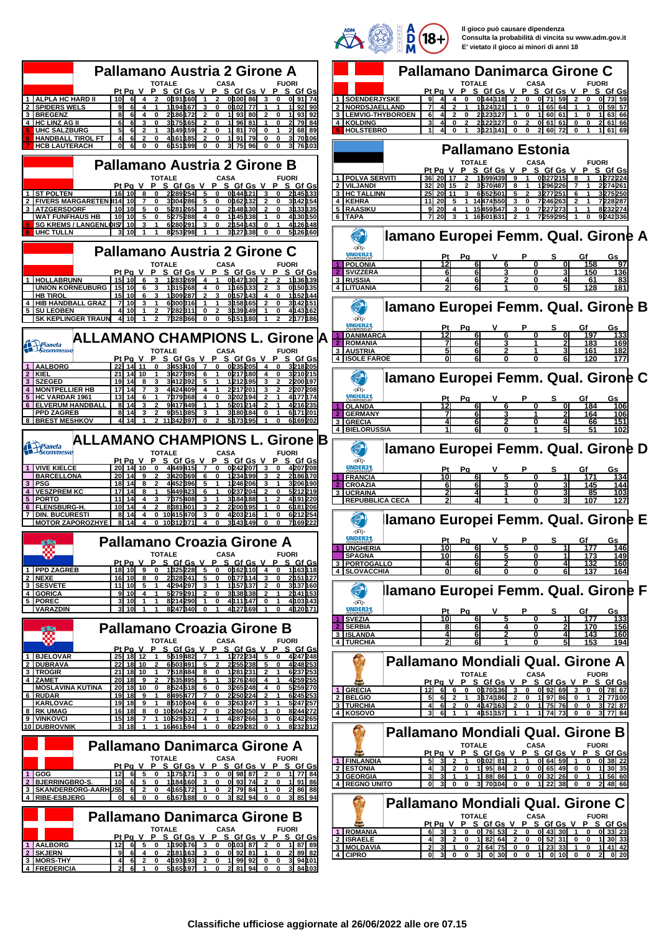

**Il gioco può causare dipendenza Consulta la probabilità di vincita su www.adm.gov.it E' vietato il gioco ai minori di anni 18**

| <b>Pallamano Austria 2 Girone A</b><br><b>TOTALE</b><br><b>CASA</b><br><b>FUORI</b>                                                                                                                                                                                | <b>Pallamano Danimarca Girone C</b><br><b>TOTALE</b><br><b>CASA</b><br><b>FUORI</b>                                                                                                                                                                                                    |
|--------------------------------------------------------------------------------------------------------------------------------------------------------------------------------------------------------------------------------------------------------------------|----------------------------------------------------------------------------------------------------------------------------------------------------------------------------------------------------------------------------------------------------------------------------------------|
| Pt Pa V P S Gf Gs V P S Gf Gs V<br>P S Gf Gs                                                                                                                                                                                                                       | Pt Pa V P S Gf Gs V P S Gf Gs V<br>P S Gf Gs                                                                                                                                                                                                                                           |
| 0191160<br>1 ALPLA HC HARD II<br>10I<br>6I<br>$\overline{4}$<br>$\overline{2}$<br>$\overline{1}$<br>$\overline{2}$<br>0100 86<br>$\mathbf{3}$<br>$\mathbf{0}$<br>0 91 74                                                                                           | 1 SOENDERJYSKE<br>$\overline{\mathbf{4}}$<br>$\mathbf{0}$<br>0144118<br>$\overline{\mathbf{2}}$<br>0<br>0 71 59<br>$\overline{2}$<br>0<br>OI 731 59                                                                                                                                    |
| 2 SPIDERS WELS<br>1 h94 h67 l<br>3<br>$\bf{0}$<br>0h02<br>77<br>90<br>3 BREGENZ<br>8<br>93<br>2186172<br>0<br>1193<br>80<br>ŋ<br>61<br>2                                                                                                                           | <b>INORDSJAELLAND</b><br>1h24h21<br>65<br>64<br>0<br>3 LEMVIG-THYBOROEN<br>6<br>0<br>2123127<br>0<br>11 60<br>-61<br>0<br>63166                                                                                                                                                        |
| 4 HC LINZ AG II<br>6<br>3h75h65<br>0<br>1 96<br>81<br>79I 84<br>O                                                                                                                                                                                                  | 4 KOLDING<br>3<br>2122127<br>0<br>$\overline{2}$<br>0 61 61<br>$\mathbf 0$<br>2 61 66<br>$\Omega$<br>2<br>0                                                                                                                                                                            |
| <b>UHC SALZBURG</b><br>5<br>3h49h59<br>$\bf{0}$<br>1 81<br>70                                                                                                                                                                                                      | <b>HOLSTEBRO</b><br>$\mathbf 0$<br>0<br>3h21h41<br>0<br>21 601 72<br>1 61 69                                                                                                                                                                                                           |
| <b>HANDBALL TIROL FT</b><br>4h61h85<br>$\mathbf 0$<br>1 I91<br>79<br>0<br>0<br>70h06<br>61<br>2<br>0<br>2                                                                                                                                                          |                                                                                                                                                                                                                                                                                        |
| $\mathbf 0$<br><b>HCB LAUTERACH</b><br>0<br>61<br>0<br>$\mathbf 0$<br>6h51h99<br>0<br>31 75<br>96<br>0<br>0<br>зI<br>76 1 0 3                                                                                                                                      | <b>Pallamano Estonia</b>                                                                                                                                                                                                                                                               |
|                                                                                                                                                                                                                                                                    | <b>TOTALE</b><br><b>FUORI</b><br>CASA                                                                                                                                                                                                                                                  |
| <b>Pallamano Austria 2 Girone B</b>                                                                                                                                                                                                                                | P S Gf Gs V<br>P S Gf Gs V<br>P<br>SGf Gs<br>Pt Pa V                                                                                                                                                                                                                                   |
| <b>TOTALE</b><br><b>CASA</b><br><b>FUORI</b>                                                                                                                                                                                                                       | 1   POLVA SERVITI<br><b>36</b><br>20 17<br>15994391<br>9<br>0327215<br>R                                                                                                                                                                                                               |
| PtPaVPSGfGsVPSGfGsVPSGfGs<br>5<br>1 ST POLTEN<br>16   10   8<br>2289254<br>$\mathbf 0$<br>0h44h21l<br>3<br>2h45h33<br>$\mathbf 0$<br>$\mathbf 0$                                                                                                                   | 2 VILJANDI<br>32 20 15<br>3570487<br>8<br>1296226<br>227426<br>2<br>3 HC TALLINN<br>6552501<br>25<br><b>20</b><br>11<br>5<br>2<br>3277251<br>6<br>3275250                                                                                                                              |
| <b>2 FIVERS MARGARETEN</b><br>II141 101<br>3304286<br>$\mathbf 0$<br>5<br>0162<br>0<br>3M 42M 54                                                                                                                                                                   | 4 KEHRA<br>14474550<br>11<br>1<br>3<br>0<br>7246263                                                                                                                                                                                                                                    |
| 3   ATZGERSDORF<br>10 10<br>5281265<br>2h48h30l<br>3h33h35<br>0<br>3<br>$\mathbf 0$<br>0                                                                                                                                                                           | 5 RAASIKU<br>9 20<br>15459547<br>3<br>7227273<br>1<br>O<br>823227                                                                                                                                                                                                                      |
| <b>WAT FUNFHAUS HB</b><br>10 10<br>5<br>0<br>5275288<br>$\bf{0}$<br>1h45h381<br>4h30h50<br>4                                                                                                                                                                       | $\overline{7}$   20 <br>6   TAPA<br>16501631<br>7259295<br>9242336                                                                                                                                                                                                                     |
| SG KREMS / LANGENLOIS 10<br>6280291<br>$\bf{0}$<br>4h 26h 48<br>3<br>3<br>2M54<br><b>UHC TULLN</b><br>31 10<br>8253298<br>3h27h38<br>$\mathbf 0$<br>$\mathbf 0$<br>5126160                                                                                         |                                                                                                                                                                                                                                                                                        |
|                                                                                                                                                                                                                                                                    | llamano Europei Femm. Qual. Girone A                                                                                                                                                                                                                                                   |
| Pallamano Austria 2 Girone C                                                                                                                                                                                                                                       | 颂合                                                                                                                                                                                                                                                                                     |
|                                                                                                                                                                                                                                                                    | UNDER21<br>Gf<br><u>Gs</u><br>Pa                                                                                                                                                                                                                                                       |
| <b>TOTALE</b><br><b>CASA</b><br><b>FUORI</b><br>Pt Pa V P S Gf Gs V P S Gf Gs V P S Gf Gs                                                                                                                                                                          | $\overline{12}$<br><b>POLONIA</b><br>158<br>97<br>01<br><b>SVIZZERA</b><br>150<br>6<br>31<br>136                                                                                                                                                                                       |
| 15   10   6<br>1283269<br>$\overline{4}$<br>$\mathbf{1}$<br>0h47h30l<br>1   HOLLABRUNN<br>1h36h39                                                                                                                                                                  | 3 RUSSIA<br>61<br>83<br>6                                                                                                                                                                                                                                                              |
| <b>UNION KORNEUBURG</b><br>15 I 10<br>$\mathbf 0$<br>0h50h35<br>6<br>3<br>1315268<br>4<br>1165<br>3                                                                                                                                                                | 4 LITUANIA<br>128<br>181                                                                                                                                                                                                                                                               |
| <b>HB TIROI</b><br>15 10<br>1309287<br>0157143<br>1h52h44<br>6<br>3<br>2<br>3<br>0<br>3h58165                                                                                                                                                                      |                                                                                                                                                                                                                                                                                        |
| 4 HIB HANDBALL<br>71 10<br>6300316<br>3h42h51<br><b>GRAZ</b><br>0<br><b>5 SU LEOBEN</b><br>4h43h62<br>3h39<br>0<br>10l<br>7282311<br>0<br>2<br>149                                                                                                                 | llamano Europei Femm. Qual. Girone B                                                                                                                                                                                                                                                   |
| <b>SK KEPLINGER TRAUN</b><br>41 10<br>$\mathbf{2}$<br>7328366<br>0<br>0<br>5151180<br>2177186                                                                                                                                                                      | 颂谷                                                                                                                                                                                                                                                                                     |
|                                                                                                                                                                                                                                                                    | UNDER2<br>Pa<br>v<br>s<br>Gf<br>Gs                                                                                                                                                                                                                                                     |
| <b>ALLAMANO CHAMPIONS L. Girone lA</b>                                                                                                                                                                                                                             | 12<br><b>DANIMARCA</b><br>133<br>ΩI<br>197<br>2 ROMANIA<br>183<br>169<br>6                                                                                                                                                                                                             |
| Pianeta<br>Scommesse<br><b>TOTALE</b><br><b>CASA</b><br><b>FUORI</b>                                                                                                                                                                                               | 3 AUSTRIA<br>182<br>161<br>6<br>3                                                                                                                                                                                                                                                      |
| Pt Pq V P S Gf Gs V P S Gf Gs V P S Gf Gs                                                                                                                                                                                                                          | 4 ISOLE FAROE<br>177<br>61<br>120                                                                                                                                                                                                                                                      |
| 3453410<br>0235205<br>1   AALBORG<br>22 14 11<br>$\overline{7}$<br>$\mathbf 0$<br>$\overline{4}$<br>$\mathbf 0$<br>3218205                                                                                                                                         |                                                                                                                                                                                                                                                                                        |
| $2$ KIEI<br>21 14 10<br>314271395<br>3210215<br>0217<br>180<br>0<br>3 SZEGED<br>19 14<br>3412392<br>1212195<br>2200h97<br>5                                                                                                                                        | llamano Europei Femm. Qual. Girone C                                                                                                                                                                                                                                                   |
| 4424409<br>2217<br>4 <sup>1</sup><br><b>MONTPELLIER HB</b><br>17   14<br>2207208<br>4<br>201                                                                                                                                                                       | DG                                                                                                                                                                                                                                                                                     |
| 5 HC VARDAR 1961<br>7379368<br>194<br>4h77h74<br>13I 14<br>4<br>$\Omega$<br>3202                                                                                                                                                                                   | <b>UNDER21</b><br><u>Pt</u><br>Pq<br>Gf<br>Gs                                                                                                                                                                                                                                          |
| 6 ELVERUM HANDBALL<br>8   14<br>$\mathbf{2}$<br>9417449<br>5201214<br>4216235<br>3<br>1<br>2<br><b>PPD ZAGREB</b><br>8 I 14<br>9351385<br>3<br>0<br>6171201<br>3h80h84l                                                                                            | 12<br><b>OLANDA</b><br>184<br>Ol<br>106<br>61                                                                                                                                                                                                                                          |
| <b>8 IBREST MESHKOV</b><br>$\mathbf{r}$<br>11 <b>842897</b><br>5h73h95<br>6169202<br><sup>0</sup>                                                                                                                                                                  | <b>GERMANY</b><br>61<br>164<br><u> 106</u><br>3 GRECIA<br>151<br>6<br>66<br>4                                                                                                                                                                                                          |
|                                                                                                                                                                                                                                                                    | 4 BIELORUSSIA<br>51<br>102                                                                                                                                                                                                                                                             |
| ALLAMANO CHAMPIONS L.<br><b>Girone B</b>                                                                                                                                                                                                                           |                                                                                                                                                                                                                                                                                        |
| Pianeta<br>Scommesse<br><b>TOTALE</b><br><b>CASA</b><br><b>FUORI</b>                                                                                                                                                                                               | llamano Europei Femm. Qual. Girone D                                                                                                                                                                                                                                                   |
|                                                                                                                                                                                                                                                                    |                                                                                                                                                                                                                                                                                        |
| Pt Pa V P S Gf Gs V P S Gf Gs V P S Gf Gs                                                                                                                                                                                                                          | D                                                                                                                                                                                                                                                                                      |
| 4449415<br><b>VIVE KIELCE</b><br><b>20 14 10</b><br>0<br>$\overline{7}$<br>$\mathbf 0$<br>0242207<br>4207208<br>1 <sup>1</sup><br>3                                                                                                                                | UNDER2 <sup>.</sup><br>Gf<br><u>Gs</u><br>Pa                                                                                                                                                                                                                                           |
| <b>BARCELLONA</b><br>20 14<br>3420369<br>6<br>1234199<br>2h86h70<br>9<br>0                                                                                                                                                                                         | <b>FRANCIA</b><br>10<br>134<br>6<br>171                                                                                                                                                                                                                                                |
| 3   PSG<br>18I 14I<br>4452396<br>1246206<br>3 206 M 90<br>4   VESZPREM KC<br>5449423<br>0237204<br>5212219<br>17<br>14I<br>6<br>2<br>0                                                                                                                             | <b>CROAZIA</b><br>6<br>145<br>144<br>ŋ                                                                                                                                                                                                                                                 |
| 5 PORTO<br>11<br>7375408<br>4191220<br>3184188                                                                                                                                                                                                                     | 3 UCRAINA<br>85<br>103<br><b>REPUBBLICA CECA</b><br>107                                                                                                                                                                                                                                |
| 6 FLENSBURG-H<br>6h81206<br>10I 14<br>4<br>2<br>8B81<br>401<br>з<br>2<br>21200<br>0                                                                                                                                                                                |                                                                                                                                                                                                                                                                                        |
| <b>7 IDIN. BUCURESTI</b><br>8 I 14<br>$\mathbf 0$<br>6212254<br>4<br>10415470<br>3<br>0<br>4203216<br>8 I14<br><b>MOTOR ZAPOROZHYE</b><br>$\mathbf 0$<br>10312371<br>0<br>3143149<br>4                                                                             |                                                                                                                                                                                                                                                                                        |
| 7h69222                                                                                                                                                                                                                                                            | llamano Europei Femm. Qual. Girone E<br>ை                                                                                                                                                                                                                                              |
|                                                                                                                                                                                                                                                                    | UNDERZ<br><u>Pa</u><br>Gf                                                                                                                                                                                                                                                              |
| Pallamano Croazia Girone A                                                                                                                                                                                                                                         | <b>IINGHERI</b>                                                                                                                                                                                                                                                                        |
| <b>TOTALE</b><br><b>CASA</b><br><b>FUORI</b><br>Pt Pa V P S Gf Gs V P S Gf Gs V P S Gf Gs                                                                                                                                                                          | 10<br>149<br><b>SPAGNA</b><br>6<br><u> 173</u><br>3   PORTOGALLO<br>6<br>ŋ<br>41                                                                                                                                                                                                       |
| 1 PPD ZAGREB<br>18 10 9 0<br>1325228<br>5 0 0162110 4 0 1163118                                                                                                                                                                                                    | 160<br>132<br>4 SLOVACCHIA<br>6<br>6<br>137<br>164<br>ŋ                                                                                                                                                                                                                                |
| 2 NEXE<br>2328241 5 0 0177114<br>16   10   8 0<br>3 0<br>2h51h27                                                                                                                                                                                                   |                                                                                                                                                                                                                                                                                        |
| 3 SESVETE<br>11 10 5<br>4294297 3<br>$\overline{2}$<br>1<br>$\mathbf{1}$<br>1157137<br>$\mathbf{0}$<br>3137160<br>4 GORICA<br>91 10 4<br>5279291<br>$\overline{2}$<br>$\mathbf{0}$<br>3138138<br>2141153<br>1<br>$\overline{2}$<br>-1                              | llamano Europei Femm. Qual. Girone F                                                                                                                                                                                                                                                   |
| 5   POREC<br>3 10<br>$\overline{1}$<br>8214290<br>$\mathbf{1}$<br>$\mathbf 0$<br>4111147 0<br>4103143<br>$\mathbf{1}$                                                                                                                                              | a<br>颂谷                                                                                                                                                                                                                                                                                |
| <b>VARAZDIN</b><br>$\overline{3}$ 10<br>8247340<br>$\mathbf 0$<br>4127169<br>4120171<br>$\mathbf{1}$<br>$\mathbf{1}$<br>$\overline{1}$<br>$\mathbf 0$                                                                                                              | <b>UNDER21</b><br>Gf<br><u>Pa</u><br>Gs                                                                                                                                                                                                                                                |
|                                                                                                                                                                                                                                                                    | <u>망</u><br>1 SVEZIA<br>177<br>6<br>133<br>2 SERBIA<br>8<br>0                                                                                                                                                                                                                          |
| <b>Pallamano Croazia Girone B</b>                                                                                                                                                                                                                                  | 170<br>6<br><u> 156</u><br>3 ISLANDA<br>143<br>160<br>6<br>$\overline{4}$<br>Δ<br>n                                                                                                                                                                                                    |
| 罽<br><b>TOTALE</b><br>CASA<br><b>FUORI</b>                                                                                                                                                                                                                         | 4 TURCHIA<br>51<br>153<br>194                                                                                                                                                                                                                                                          |
| P S Gf Gs V P S Gf Gs V P S Gf Gs<br>Pt Pa V<br>25 18 12<br>5519482 7 1<br>1272234 5 0 4247248<br>1 BJELOVAR<br>$\mathbf{1}$                                                                                                                                       |                                                                                                                                                                                                                                                                                        |
| 2 DUBRAVA<br>22 18 10<br>$\overline{2}$<br>6503491 5 2<br>2255238<br>5<br>$\mathbf 0$<br>4248253                                                                                                                                                                   | Pallamano Mondiali Qual. Girone A                                                                                                                                                                                                                                                      |
| 3 TROGIR<br>7518484 8 0<br>21 18 10<br>$\overline{2}$<br>$\mathbf{1}$<br>1281231<br>$\mathbf{1}$<br>6237253                                                                                                                                                        | <b>TOTALE</b><br><b>CASA</b><br><b>FUORI</b>                                                                                                                                                                                                                                           |
| 4 ZAMET<br>20 18 9<br>7535495 5<br>3276240<br>4259255<br>$\mathbf{2}$<br>$\mathbf{1}$<br>4<br><b>MOSLAVINA KUTINA</b><br>20 18 10<br>$\mathbf{0}$<br>$\mathbf{0}$<br>$\mathbf 0$                                                                                   | Pt Pa V P S Gf Gs V P S Gf Gs V P S Gf Gs                                                                                                                                                                                                                                              |
| 8524518<br>3265248<br>5259270<br>$6\phantom{.0}$<br>4<br>2250224<br>19 18 9<br>8495477 7 0<br>6245253<br>6 RUDAR<br>$\mathbf{1}$<br>$\overline{2}$<br>$\mathbf{1}$                                                                                                 | 1 GRECIA<br>6 6 0 011701136 3 0 0 92 69 3 0 0 78 67<br>12                                                                                                                                                                                                                              |
| KARLOVAC<br>$19$ $18$ $9$<br>8510504 6 0<br>3263247<br>5247257<br>$\mathbf{1}$<br>$\mathbf{3}$                                                                                                                                                                     | 2 BELGIO<br>1 97 86 0 1 2 77 100<br>5 6 2 1<br>3174186 2 0<br>3 TURCHIA<br>4147163 2<br>1 75 76 0 0 3 72 87<br>4<br>$6 \quad 2$<br>$\mathbf{0}$<br>$\mathbf 0$                                                                                                                         |
| 16 18 8 0 10 50 4 522<br>70<br>2260250<br>$\mathbf{1}$<br>$\mathbf 0$<br>8244272                                                                                                                                                                                   | 4 KOSOVO<br>$1174$ $73$ 0 0<br>$\overline{3}$<br>6I.<br>4h51h57 1<br>$\overline{1}$<br>$\mathbf{1}$<br>$\mathbf{1}$<br>3 77 84                                                                                                                                                         |
| 8 RK UMAG<br>9 VINKOVCI<br>15 I 18<br>$\overline{7}$<br>1 10 529 531<br>4<br>4287266<br>$\mathbf{3}$<br>$\mathbf{1}$<br>$\mathbf 0$<br>6242265<br>10 DUBROVNIK<br>3   18   1<br>1 16461594<br>$\mathbf{1}$<br>0 8229282<br>$\mathbf{0}$<br>8232312<br>$\mathbf{1}$ |                                                                                                                                                                                                                                                                                        |
|                                                                                                                                                                                                                                                                    | Pallamano Mondiali Qual. Girone B                                                                                                                                                                                                                                                      |
|                                                                                                                                                                                                                                                                    | <b>TOTALE</b><br><b>CASA</b><br><b>FUORI</b>                                                                                                                                                                                                                                           |
| <b>Pallamano Danimarca Girone A</b><br><b>TOTALE</b><br><b>CASA</b><br><b>FUORI</b>                                                                                                                                                                                | Pt Pa V P S Gf Gs V P S Gf Gs V P S Gf Gs<br>$\overline{\mathbf{1}}$                                                                                                                                                                                                                   |
| Pt Pa V P S Gf Gs V P S Gf Gs V P S Gf Gs                                                                                                                                                                                                                          | 1 FINLANDIA<br>$0102$ 81 1<br>$\overline{2}$<br>$\overline{1}$<br>0 64 59 10<br>0 38 22<br>2 ESTONIA<br>1 95 84<br>$\overline{2}$<br>0 65 49 00<br>41<br>$\overline{2}$<br>$\mathbf 0$<br>$\mathbf 0$<br>1 30 35                                                                       |
| 1175171 3 0 0 98 87 2 0<br>$12$ 6 5 0<br>1 77 84                                                                                                                                                                                                                   | 3 GEORGIA<br>$\mathbf{3}$<br>1 88 86 1 0<br>0 32 26 0113 56 60<br>31<br>$\mathbf{1}$<br>1                                                                                                                                                                                              |
| 1184160 3 0 0 93 74<br>2 BJERRINGBRO-S.<br>10I<br>65<br>$\mathbf 0$<br>$\overline{2}$<br>$\mathbf 0$<br>1 91 86                                                                                                                                                    | 4 REGNO UNITO<br>3 70 104<br>$0\quad 0$<br>$1$   22  38  0 0<br>ΩL<br>3 0 0<br>2 48 66                                                                                                                                                                                                 |
| 1 GOG<br>4165172 1 0 2 79 84<br>3 SKANDERBORG-AARHUS5 6 2 0<br>1 0 2 86 88<br>4 RIBE-ESBJERG<br>6167188 0 0<br>3 82 94<br>0I<br>600<br>$\mathbf{0}$<br>$\mathbf{0}$<br>3 85 94                                                                                     |                                                                                                                                                                                                                                                                                        |
|                                                                                                                                                                                                                                                                    | Pallamano Mondiali Qual. Girone C                                                                                                                                                                                                                                                      |
|                                                                                                                                                                                                                                                                    | <b>TOTALE</b><br><b>CASA</b><br><b>FUORI</b>                                                                                                                                                                                                                                           |
| <b>Pallamano Danimarca Girone B</b>                                                                                                                                                                                                                                | Pt Pa V P S Gf Gs V P S Gf Gs V P S Gf Gs                                                                                                                                                                                                                                              |
| <b>TOTALE</b><br><b>CASA</b><br><b>FUORI</b><br>Pt Pa V P S Gf Gs V P S Gf Gs V P S Gf Gs                                                                                                                                                                          | $\overline{3}$ $\overline{3}$ $\overline{3}$ $\overline{0}$ $\overline{0}$ $\overline{76}$ $\overline{53}$ $\overline{2}$ $\overline{0}$ $\overline{0}$ $\overline{43}$ $\overline{30}$ $\overline{1}$ $\overline{0}$ $\overline{0}$ $\overline{33}$ $\overline{23}$<br>1 ROMANIA<br>6 |
| $\overline{6}$ 5 0 1 190 176 3 0 0103 87 2 0 1 87 89<br>1 AALBORG                                                                                                                                                                                                  | 2 ISRAELE<br>0 52 31 0 0 1 30 33<br>$\overline{4}$<br>$0 \t1826420$<br>$3 \mid 2$<br>3 MOLDAVIA<br>$\overline{2}$<br>2 64 75 00<br>$1 \ 23 \ 33 \ 1 \ 0 \ 1 \ 41 \ 42$<br>311<br>$\mathbf 0$                                                                                           |
| 2 SKJERN<br>6 4 0 2 181 163 3 0 0 9 2 81 1 0 2 89 82<br>-9 I<br>3 MORS-THY<br>4<br>6I<br>$\overline{2}$<br>4193193 2 0 1 99 92 0 0<br>3 94 101<br>$\mathbf{0}$                                                                                                     | $\bullet$<br>4 CIPRO<br>οI<br>$\mathbf 0$<br>$\mathbf 0$<br>3 030 <br>$\mathbf 0$<br>1<br>$0$ 10 $0$ $0$<br>$2$ 0 20<br>3I                                                                                                                                                             |